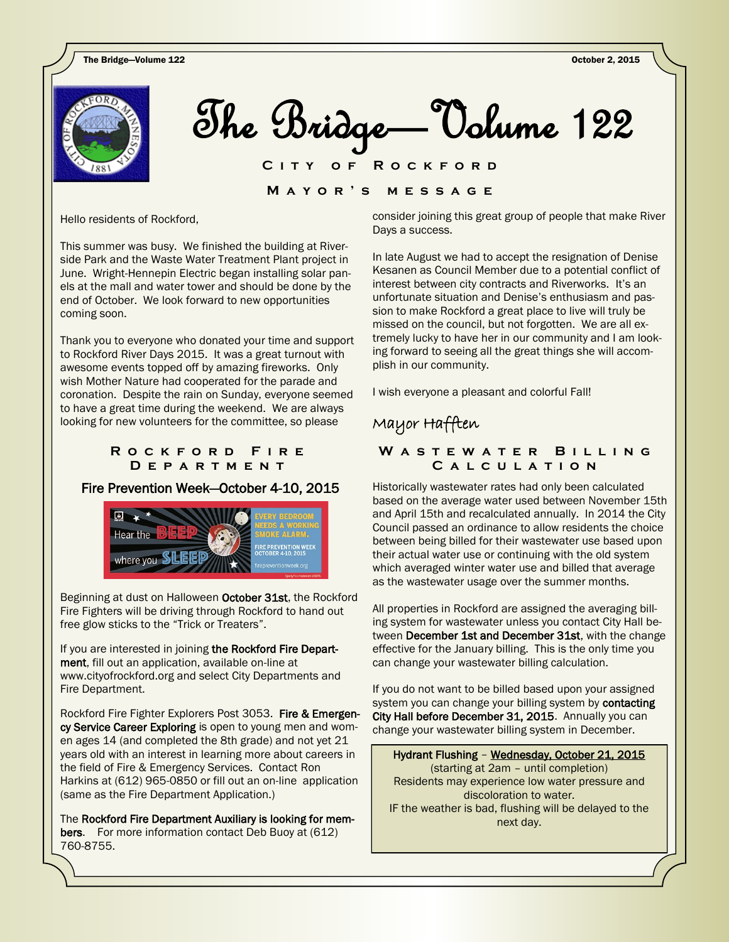**OF ROCKFORD** 

 $\overline{\phantom{0}}$ **M a y o r ' s m e s s a g e**

Hello residents of Rockford,

This summer was busy. We finished the building at Riverside Park and the Waste Water Treatment Plant project in June. Wright-Hennepin Electric began installing solar panels at the mall and water tower and should be done by the end of October. We look forward to new opportunities coming soon.

Thank you to everyone who donated your time and support to Rockford River Days 2015. It was a great turnout with awesome events topped off by amazing fireworks. Only wish Mother Nature had cooperated for the parade and coronation. Despite the rain on Sunday, everyone seemed to have a great time during the weekend. We are always looking for new volunteers for the committee, so please

### **R o c k f o r d F i r e D e p a r t m e n t**

## Fire Prevention Week—October 4-10, 2015



Beginning at dust on Halloween October 31st, the Rockford Fire Fighters will be driving through Rockford to hand out free glow sticks to the "Trick or Treaters".

 Fire Department. If you are interested in joining the Rockford Fire Department, fill out an application, available on-line at www.cityofrockford.org and select City Departments and

Rockford Fire Fighter Explorers Post 3053. Fire & Emergency Service Career Exploring is open to young men and women ages 14 (and completed the 8th grade) and not yet 21 years old with an interest in learning more about careers in the field of Fire & Emergency Services. Contact Ron Harkins at (612) 965-0850 or fill out an on-line application (same as the Fire Department Application.)

The Rockford Fire Department Auxiliary is looking for members. For more information contact Deb Buoy at (612) 760-8755.

consider joining this great group of people that make River Days a success.

In late August we had to accept the resignation of Denise Kesanen as Council Member due to a potential conflict of interest between city contracts and Riverworks. It's an unfortunate situation and Denise's enthusiasm and passion to make Rockford a great place to live will truly be missed on the council, but not forgotten. We are all extremely lucky to have her in our community and I am looking forward to seeing all the great things she will accomplish in our community.

I wish everyone a pleasant and colorful Fall!

# Mayor Hafften

## W A S T E W A T E R **BILLING C a l c u l a t i o n**

Historically wastewater rates had only been calculated based on the average water used between November 15th and April 15th and recalculated annually. In 2014 the City Council passed an ordinance to allow residents the choice between being billed for their wastewater use based upon their actual water use or continuing with the old system which averaged winter water use and billed that average as the wastewater usage over the summer months.

All properties in Rockford are assigned the averaging billing system for wastewater unless you contact City Hall between December 1st and December 31st, with the change effective for the January billing. This is the only time you can change your wastewater billing calculation.

If you do not want to be billed based upon your assigned system you can change your billing system by **contacting** City Hall before December 31, 2015. Annually you can change your wastewater billing system in December.

Hydrant Flushing – Wednesday, October 21, 2015 (starting at 2am – until completion) Residents may experience low water pressure and discoloration to water. IF the weather is bad, flushing will be delayed to the next day.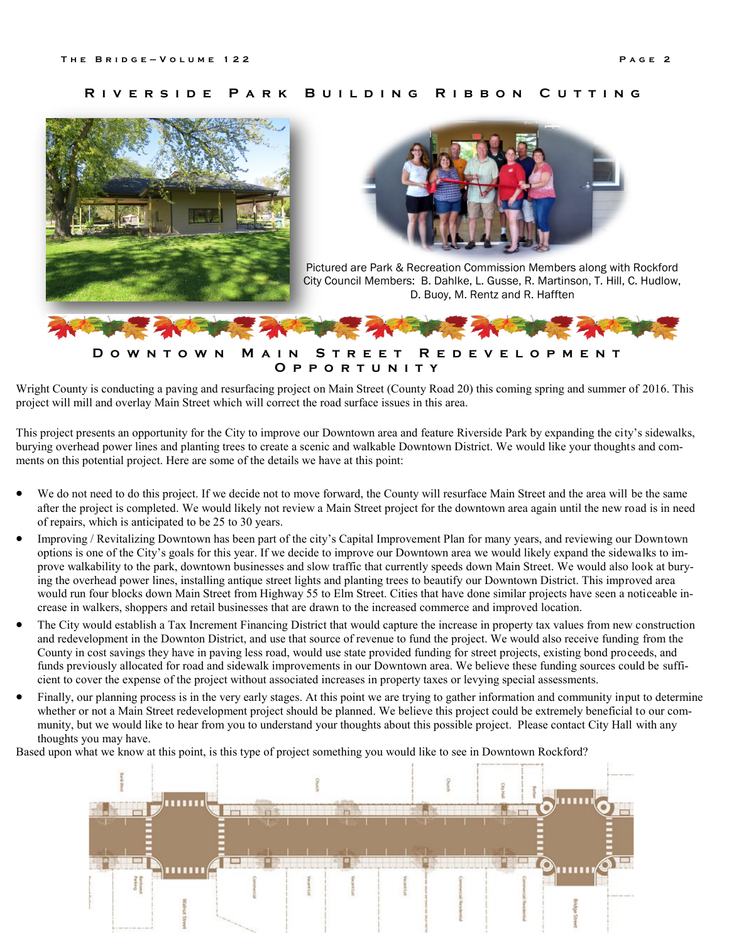#### **R i v e r s i d e P a r k B u i l d i n g R i b b o n C u t t i n g**





Pictured are Park & Recreation Commission Members along with Rockford City Council Members: B. Dahlke, L. Gusse, R. Martinson, T. Hill, C. Hudlow, D. Buoy, M. Rentz and R. Hafften



Wright County is conducting a paving and resurfacing project on Main Street (County Road 20) this coming spring and summer of 2016. This project will mill and overlay Main Street which will correct the road surface issues in this area.

This project presents an opportunity for the City to improve our Downtown area and feature Riverside Park by expanding the city's sidewalks, burying overhead power lines and planting trees to create a scenic and walkable Downtown District. We would like your thoughts and comments on this potential project. Here are some of the details we have at this point:

- We do not need to do this project. If we decide not to move forward, the County will resurface Main Street and the area will be the same after the project is completed. We would likely not review a Main Street project for the downtown area again until the new road is in need of repairs, which is anticipated to be 25 to 30 years.
- Improving / Revitalizing Downtown has been part of the city's Capital Improvement Plan for many years, and reviewing our Downtown options is one of the City's goals for this year. If we decide to improve our Downtown area we would likely expand the sidewalks to improve walkability to the park, downtown businesses and slow traffic that currently speeds down Main Street. We would also look at burying the overhead power lines, installing antique street lights and planting trees to beautify our Downtown District. This improved area would run four blocks down Main Street from Highway 55 to Elm Street. Cities that have done similar projects have seen a noticeable increase in walkers, shoppers and retail businesses that are drawn to the increased commerce and improved location.
- The City would establish a Tax Increment Financing District that would capture the increase in property tax values from new construction and redevelopment in the Downton District, and use that source of revenue to fund the project. We would also receive funding from the County in cost savings they have in paving less road, would use state provided funding for street projects, existing bond proceeds, and funds previously allocated for road and sidewalk improvements in our Downtown area. We believe these funding sources could be sufficient to cover the expense of the project without associated increases in property taxes or levying special assessments.
- Finally, our planning process is in the very early stages. At this point we are trying to gather information and community input to determine whether or not a Main Street redevelopment project should be planned. We believe this project could be extremely beneficial to our community, but we would like to hear from you to understand your thoughts about this possible project. Please contact City Hall with any thoughts you may have.

Based upon what we know at this point, is this type of project something you would like to see in Downtown Rockford?

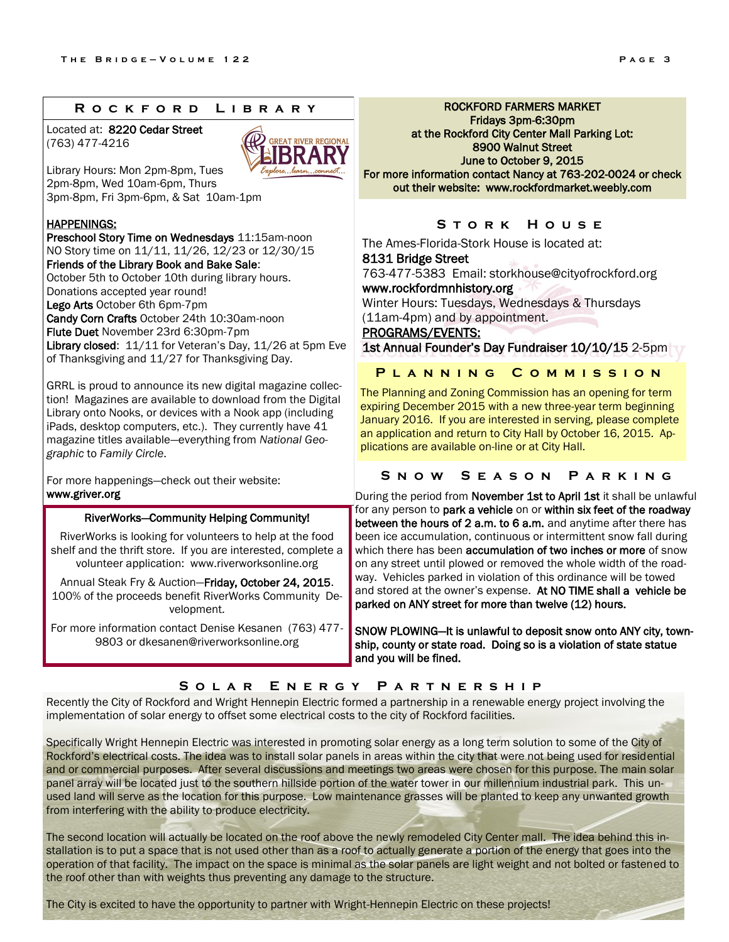#### **R o c k f o r d L i b r a r y**

Located at: 8220 Cedar Street (763) 477-4216



Library Hours: Mon 2pm-8pm, Tues 2pm-8pm, Wed 10am-6pm, Thurs 3pm-8pm, Fri 3pm-6pm, & Sat 10am-1pm

#### **HAPPENINGS:**

Preschool Story Time on Wednesdays 11:15am-noon NO Story time on 11/11, 11/26, 12/23 or 12/30/15 Friends of the Library Book and Bake Sale: October 5th to October 10th during library hours. Donations accepted year round! Lego Arts October 6th 6pm-7pm Candy Corn Crafts October 24th 10:30am-noon Flute Duet November 23rd 6:30pm-7pm Library closed: 11/11 for Veteran's Day, 11/26 at 5pm Eve of Thanksgiving and 11/27 for Thanksgiving Day.

GRRL is proud to announce its new digital magazine collection! Magazines are available to download from the Digital Library onto Nooks, or devices with a Nook app (including iPads, desktop computers, etc.). They currently have 41 magazine titles available—everything from *National Geographic* to *Family Circle*.

For more happenings—check out their website: www.griver.org

#### RiverWorks—Community Helping Community!

RiverWorks is looking for volunteers to help at the food shelf and the thrift store. If you are interested, complete a volunteer application: www.riverworksonline.org

Annual Steak Fry & Auction—Friday, October 24, 2015. 100% of the proceeds benefit RiverWorks Community Development.

For more information contact Denise Kesanen (763) 477- 9803 or dkesanen@riverworksonline.org

ROCKFORD FARMERS MARKET Fridays 3pm-6:30pm at the Rockford City Center Mall Parking Lot: 8900 Walnut Street June to October 9, 2015 For more information contact Nancy at 763-202-0024 or check out their website: www.rockfordmarket.weebly.com

## **S t o r k H o u s e**

The Ames-Florida-Stork House is located at: 8131 Bridge Street

763-477-5383 Email: storkhouse@cityofrockford.org www.rockfordmnhistory.org Winter Hours: Tuesdays, Wednesdays & Thursdays

(11am-4pm) and by appointment.

PROGRAMS/EVENTS:

1st Annual Founder's Day Fundraiser 10/10/15 2-5pm

**P l a n n i n g C o m m i s s i o n**

The Planning and Zoning Commission has an opening for term expiring December 2015 with a new three-year term beginning January 2016. If you are interested in serving, please complete an application and return to City Hall by October 16, 2015. Applications are available on-line or at City Hall.

#### **S n o w S e a s o n P a r k i n g**

During the period from November 1st to April 1st it shall be unlawful for any person to park a vehicle on or within six feet of the roadway between the hours of 2 a.m. to 6 a.m. and anytime after there has been ice accumulation, continuous or intermittent snow fall during which there has been accumulation of two inches or more of snow on any street until plowed or removed the whole width of the roadway. Vehicles parked in violation of this ordinance will be towed and stored at the owner's expense. At NO TIME shall a vehicle be parked on ANY street for more than twelve (12) hours.

SNOW PLOWING—It is unlawful to deposit snow onto ANY city, township, county or state road. Doing so is a violation of state statue and you will be fined.

## **S o l a r E n e r g y P a r t n e r s h i p**

Recently the City of Rockford and Wright Hennepin Electric formed a partnership in a renewable energy project involving the implementation of solar energy to offset some electrical costs to the city of Rockford facilities.

Specifically Wright Hennepin Electric was interested in promoting solar energy as a long term solution to some of the City of Rockford's electrical costs. The idea was to install solar panels in areas within the city that were not being used for residential and or commercial purposes. After several discussions and meetings two areas were chosen for this purpose. The main solar panel array will be located just to the southern hillside portion of the water tower in our millennium industrial park. This unused land will serve as the location for this purpose. Low maintenance grasses will be planted to keep any unwanted growth from interfering with the ability to produce electricity.

The second location will actually be located on the roof above the newly remodeled City Center mall. The idea behind this installation is to put a space that is not used other than as a roof to actually generate a portion of the energy that goes into the operation of that facility. The impact on the space is minimal as the solar panels are light weight and not bolted or fastened to the roof other than with weights thus preventing any damage to the structure.

The City is excited to have the opportunity to partner with Wright-Hennepin Electric on these projects!